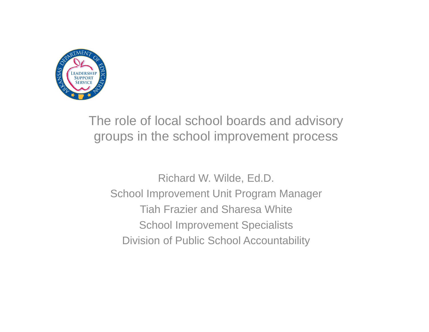

### The role of local school boards and advisory groups in the school improvement process

Richard W. Wilde, Ed.D. School Improvement Unit Program Manager Tiah Frazier and Sharesa WhiteSchool Improvement Specialists Division of Public School Accountability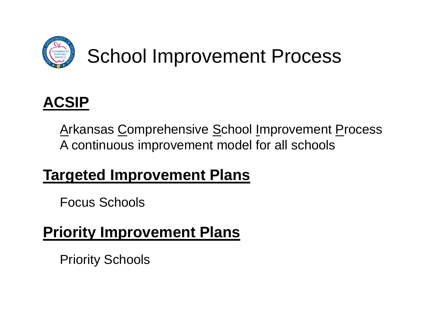

## School Improvement Process



Arkansas Comprehensive School Improvement Process A continuous improvement model for all schools

### **Targeted Improvement Plans**

Focus Schools

### **Priority Improvement Plans**

Priority Schools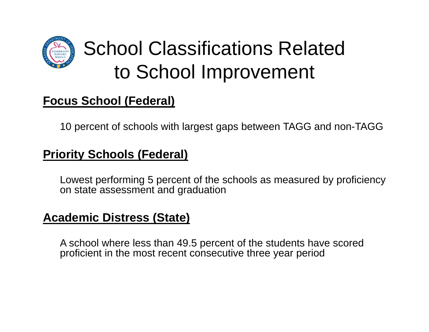

## School Classifications Related to School Improvement

### **Focus School (Federal)**

10 percent of schools with largest gaps between TAGG and non-TAGG

#### **Priority Schools (Federal)**

Lowest performing 5 percent of the schools as measured by proficiency on state assessment and graduation

#### **Academic Distress (State)**

A school where less than 49.5 percent of the students have scored proficient in the most recent consecutive three year period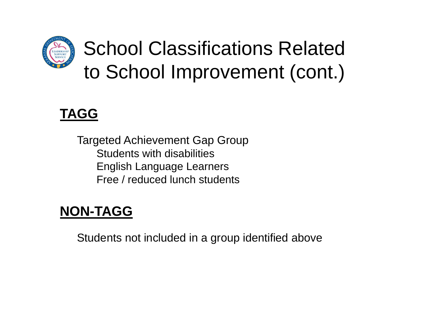

## School Classifications Related to School Improvement (cont.)

### **TAGG**

Targeted Achievement Gap Group Students with disabilitiesEnglish Language Learners Free / reduced lunch students

### **NON-TAGG**

Students not included in a group identified above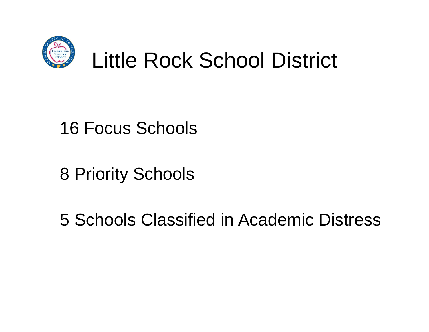

### 16 Focus Schools

8 Priority Schools

5 Schools Classified in Academic Distress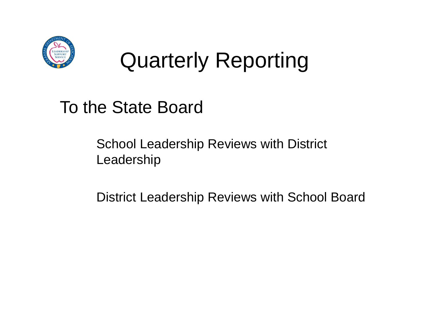

# Quarterly Reporting

To the State Board

School Leadership Reviews with District Leadership

District Leadership Reviews with School Board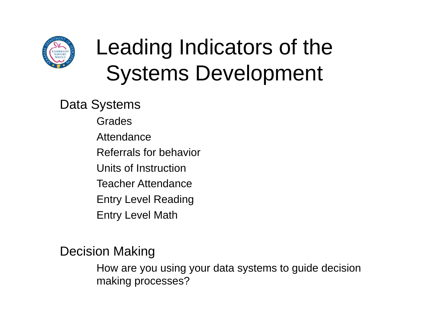

# Leading Indicators of the Systems Development

Data Systems

GradesAttendanceReferrals for behaviorUnits of InstructionTeacher AttendanceEntry Level Reading Entry Level Math

Decision Making

How are you using your data systems to guide decision making processes?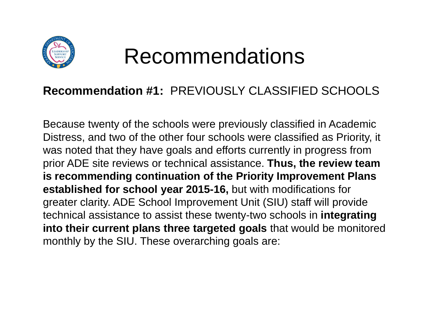

## Recommendations

#### **Recommendation #1:** PREVIOUSLY CLASSIFIED SCHOOLS

Because twenty of the schools were previously classified in Academic Distress, and two of the other four schools were classified as Priority, it was noted that they have goals and efforts currently in progress from prior ADE site reviews or technical assistance. **Thus, the review team is recommending continuation of the Priority Improvement Plans established for school year 2015-16,** but with modifications for greater clarity. ADE School Improvement Unit (SIU) staff will provide technical assistance to assist these twenty-two schools in **integrating into their current plans three targeted goals** that would be monitored monthly by the SIU. These overarching goals are: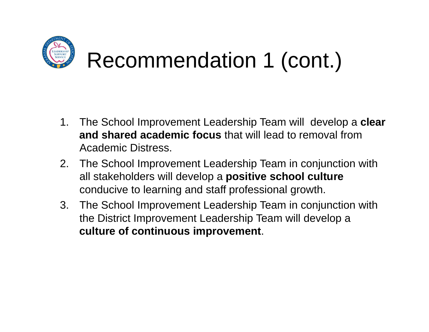

- 1. The School Improvement Leadership Team will develop a **clear and shared academic focus** that will lead to removal from Academic Distress.
- 2. The School Improvement Leadership Team in conjunction with all stakeholders will develop a **positive school culture**  conducive to learning and staff professional growth.
- 3. The School Improvement Leadership Team in conjunction with the District Improvement Leadership Team will develop a **culture of continuous improvement**.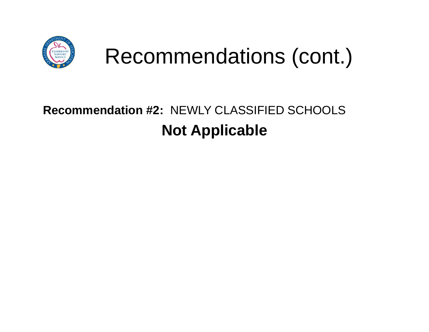![](_page_9_Picture_0.jpeg)

### **Recommendation #2:** NEWLY CLASSIFIED SCHOOLS**Not Applicable**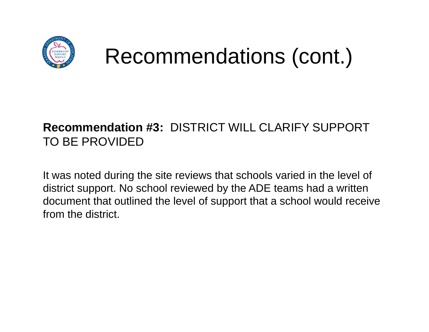![](_page_10_Picture_0.jpeg)

# Recommendations (cont.)

### **Recommendation #3:** DISTRICT WILL CLARIFY SUPPORT TO BE PROVIDED

It was noted during the site reviews that schools varied in the level of district support. No school reviewed by the ADE teams had a written document that outlined the level of support that a school would receive from the district.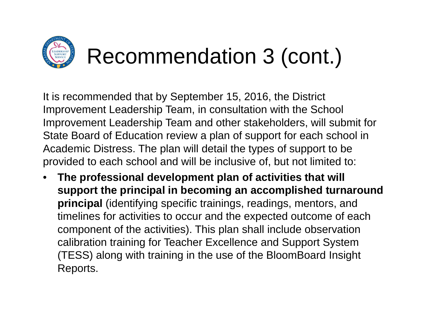![](_page_11_Picture_0.jpeg)

It is recommended that by September 15, 2016, the District Improvement Leadership Team, in consultation with the School Improvement Leadership Team and other stakeholders, will submit for State Board of Education review a plan of support for each school in Academic Distress. The plan will detail the types of support to be provided to each school and will be inclusive of, but not limited to:

• **The professional development plan of activities that will support the principal in becoming an accomplished turnaround principal** (identifying specific trainings, readings, mentors, and timelines for activities to occur and the expected outcome of each component of the activities). This plan shall include observation calibration training for Teacher Excellence and Support System (TESS) along with training in the use of the BloomBoard Insight Reports.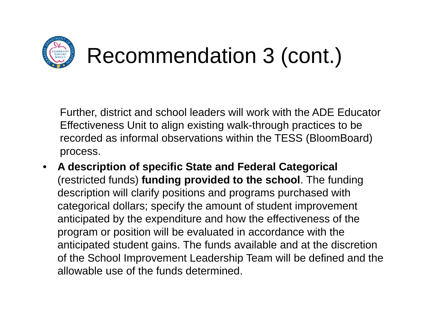![](_page_12_Picture_0.jpeg)

Further, district and school leaders will work with the ADE Educator Effectiveness Unit to align existing walk-through practices to be recorded as informal observations within the TESS (BloomBoard) process.

 $\bullet$  **A description of specific State and Federal Categorical**  (restricted funds) **funding provided to the school**. The funding description will clarify positions and programs purchased with categorical dollars; specify the amount of student improvement anticipated by the expenditure and how the effectiveness of the program or position will be evaluated in accordance with the anticipated student gains. The funds available and at the discretion of the School Improvement Leadership Team will be defined and the allowable use of the funds determined.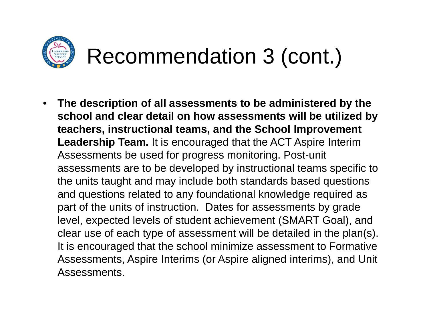![](_page_13_Picture_0.jpeg)

 $\bullet$  **The description of all assessments to be administered by the school and clear detail on how assessments will be utilized by teachers, instructional teams, and the School Improvement Leadership Team.** It is encouraged that the ACT Aspire Interim Assessments be used for progress monitoring. Post-unit assessments are to be developed by instructional teams specific to the units taught and may include both standards based questions and questions related to any foundational knowledge required as part of the units of instruction. Dates for assessments by grade level, expected levels of student achievement (SMART Goal), and clear use of each type of assessment will be detailed in the plan(s). It is encouraged that the school minimize assessment to Formative Assessments, Aspire Interims (or Aspire aligned interims), and Unit Assessments.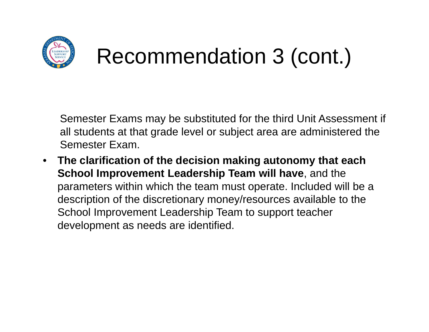![](_page_14_Picture_0.jpeg)

# Recommendation 3 (cont.)

Semester Exams may be substituted for the third Unit Assessment if all students at that grade level or subject area are administered the Semester Exam.

 $\bullet$  **The clarification of the decision making autonomy that each School Improvement Leadership Team will have**, and the parameters within which the team must operate. Included will be a description of the discretionary money/resources available to the School Improvement Leadership Team to support teacher development as needs are identified.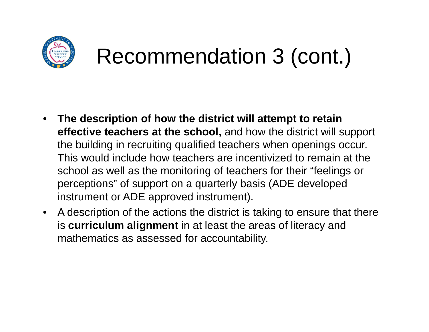![](_page_15_Picture_0.jpeg)

## Recommendation 3 (cont.)

- • **The description of how the district will attempt to retain effective teachers at the school,** and how the district will support the building in recruiting qualified teachers when openings occur. This would include how teachers are incentivized to remain at the school as well as the monitoring of teachers for their "feelings or perceptions" of support on a quarterly basis (ADE developed instrument or ADE approved instrument).
- $\bullet$  A description of the actions the district is taking to ensure that there is **curriculum alignment** in at least the areas of literacy and mathematics as assessed for accountability.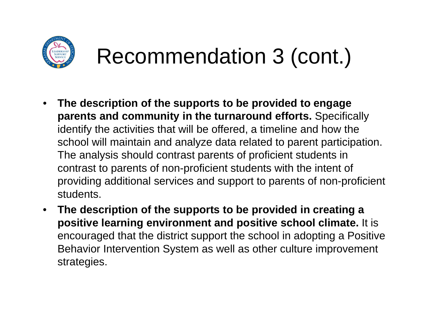![](_page_16_Picture_0.jpeg)

## Recommendation 3 (cont.)

- $\bullet$  **The description of the supports to be provided to engage parents and community in the turnaround efforts.** Specifically identify the activities that will be offered, a timeline and how the school will maintain and analyze data related to parent participation. The analysis should contrast parents of proficient students in contrast to parents of non-proficient students with the intent of providing additional services and support to parents of non-proficient students.
- $\bullet$  **The description of the supports to be provided in creating a positive learning environment and positive school climate.** It is encouraged that the district support the school in adopting a Positive Behavior Intervention System as well as other culture improvement strategies.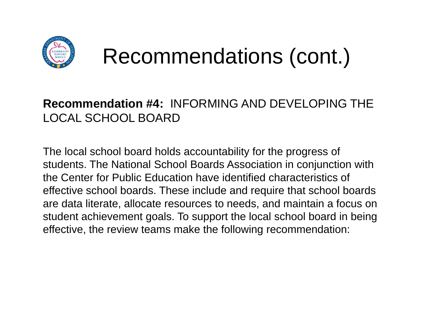![](_page_17_Picture_0.jpeg)

## Recommendations (cont.)

### **Recommendation #4:** INFORMING AND DEVELOPING THE LOCAL SCHOOL BOARD

The local school board holds accountability for the progress of students. The National School Boards Association in conjunction with the Center for Public Education have identified characteristics of effective school boards. These include and require that school boards are data literate, allocate resources to needs, and maintain a focus on student achievement goals. To support the local school board in being effective, the review teams make the following recommendation: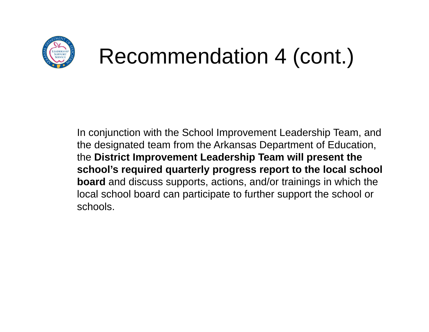![](_page_18_Picture_0.jpeg)

# Recommendation 4 (cont.)

In conjunction with the School Improvement Leadership Team, and the designated team from the Arkansas Department of Education, the **District Improvement Leadership Team will present the school's required quarterly progress report to the local school board** and discuss supports, actions, and/or trainings in which the local school board can participate to further support the school or schools.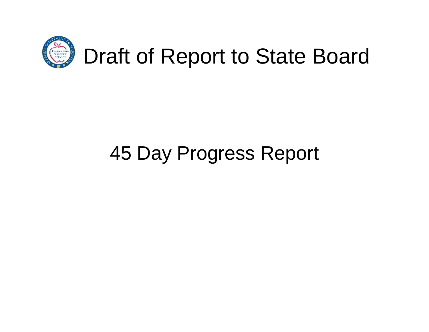![](_page_19_Picture_0.jpeg)

### 45 Day Progress Report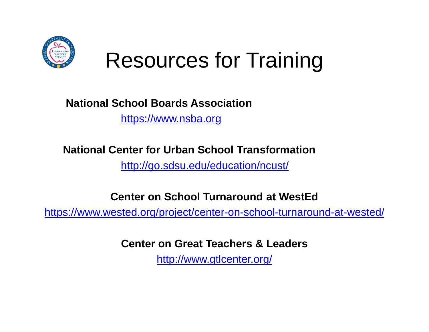![](_page_20_Picture_0.jpeg)

## Resources for Training

#### **National School Boards Association**

https://www.nsba.org

#### **National Center for Urban School Transformation**

http://go.sdsu.edu/education/ncust/

**Center on School Turnaround at WestEd**

https://www.wested.org/project/center-on-school-turnaround-at-wested/

**Center on Great Teachers & Leaders**

http://www.gtlcenter.org/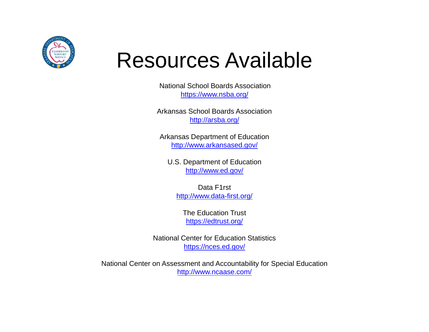![](_page_21_Picture_0.jpeg)

## Resources Available

National School Boards Associationhttps://www.nsba.org/

Arkansas School Boards Associationhttp://arsba.org/

Arkansas Department of Education http://www.arkansased.gov/

U.S. Department of Education http://www.ed.gov/

Data F1rsthttp://www.data-first.org/

The Education Trusthttps://edtrust.org/

National Center for Education Statisticshttps://nces.ed.gov/

National Center on Assessment and Accountability for Special Education http://www.ncaase.com/